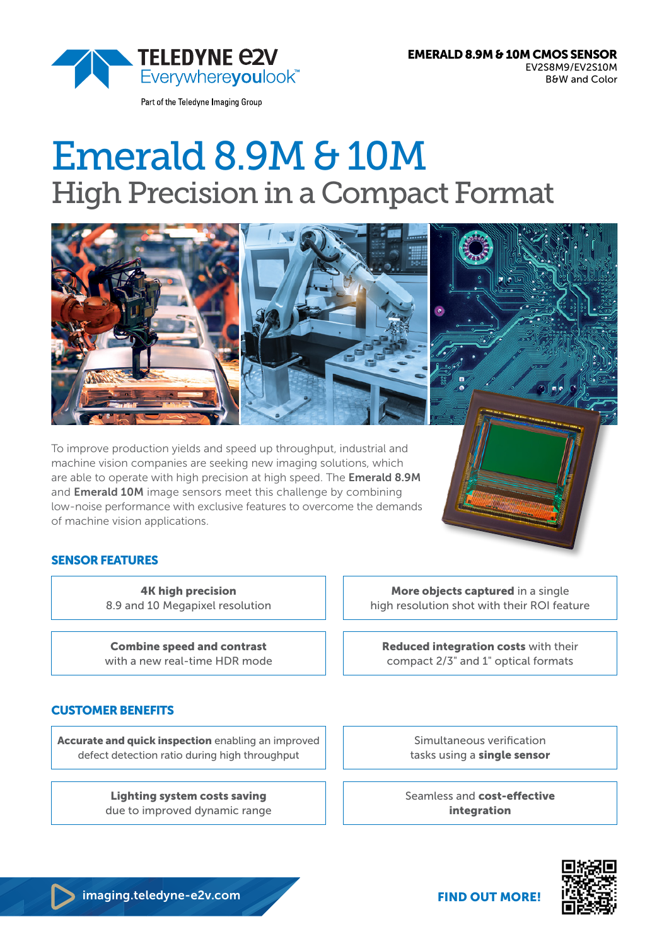Part of the Teledyne Imaging Group

# Emerald 8.9M & 10M High Precision in a Compact Format



To improve production yields and speed up throughput, industrial and machine vision companies are seeking new imaging solutions, which are able to operate with high precision at high speed. The **Emerald 8.9M** and **Emerald 10M** image sensors meet this challenge by combining low-noise performance with exclusive features to overcome the demands of machine vision applications.

# SENSOR FEATURES

4K high precision 8.9 and 10 Megapixel resolution

Combine speed and contrast with a new real-time HDR mode

# CUSTOMER BENEFITS

Accurate and quick inspection enabling an improved defect detection ratio during high throughput

> Lighting system costs saving due to improved dynamic range

More objects captured in a single high resolution shot with their ROI feature

Reduced integration costs with their compact 2/3" and 1" optical formats

> Simultaneous verification tasks using a single sensor

Seamless and cost-effective integration